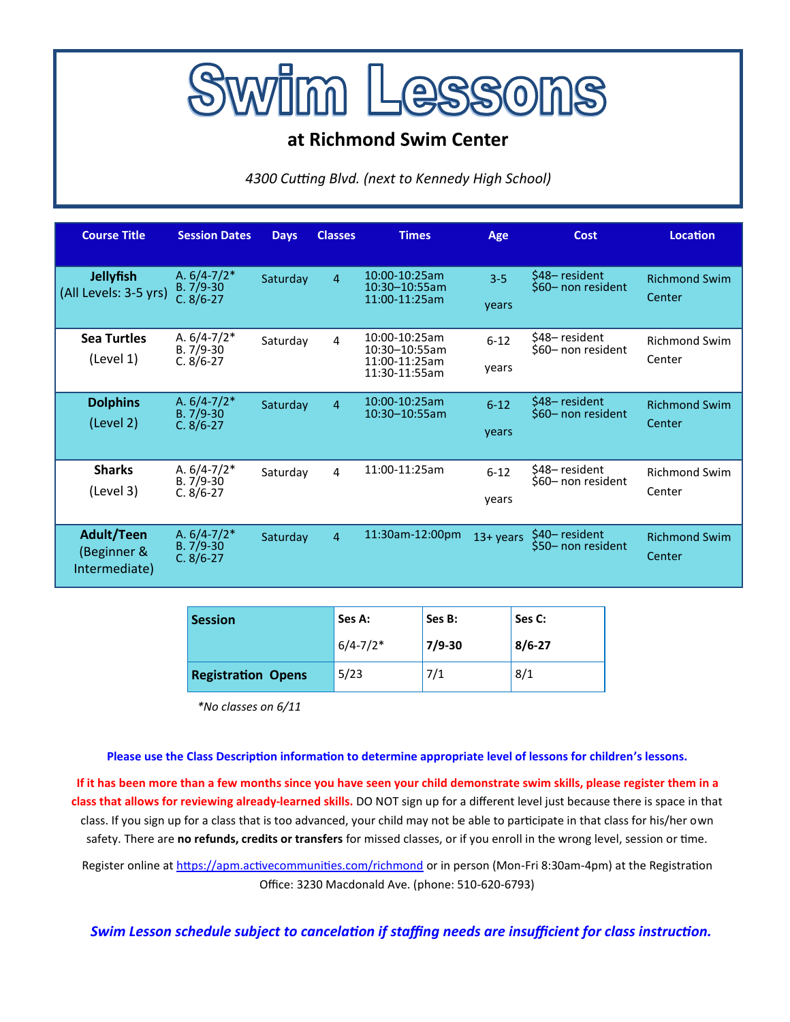

# **at Richmond Swim Center**

*4300 Cutting Blvd. (next to Kennedy High School)*

| <b>Course Title</b>                               | <b>Session Dates</b>                         | <b>Days</b> | <b>Classes</b> | <b>Times</b>                                                     | Age               | Cost                                 | <b>Location</b>                |
|---------------------------------------------------|----------------------------------------------|-------------|----------------|------------------------------------------------------------------|-------------------|--------------------------------------|--------------------------------|
| <b>Jellyfish</b><br>(All Levels: 3-5 yrs)         | A. $6/4 - 7/2*$<br>$B.7/9-30$<br>$C. 8/6-27$ | Saturday    | $\overline{4}$ | 10:00-10:25am<br>10:30-10:55am<br>11:00-11:25am                  | $3 - 5$<br>years  | \$48– resident<br>\$60- non resident | <b>Richmond Swim</b><br>Center |
| <b>Sea Turtles</b><br>(Level 1)                   | A. $6/4 - 7/2*$<br>$B.7/9-30$<br>$C. 8/6-27$ | Saturday    | 4              | 10:00-10:25am<br>10:30-10:55am<br>11:00-11:25am<br>11:30-11:55am | $6 - 12$<br>vears | \$48-resident<br>\$60- non resident  | <b>Richmond Swim</b><br>Center |
| <b>Dolphins</b><br>(Level 2)                      | A. $6/4 - 7/2*$<br>$B.7/9-30$<br>$C. 8/6-27$ | Saturday    | $\overline{4}$ | 10:00-10:25am<br>10:30-10:55am                                   | $6 - 12$<br>years | \$48-resident<br>\$60- non resident  | <b>Richmond Swim</b><br>Center |
| <b>Sharks</b><br>(Level 3)                        | A. $6/4 - 7/2*$<br>$B.7/9-30$<br>$C. 8/6-27$ | Saturday    | $\overline{4}$ | 11:00-11:25am                                                    | $6 - 12$<br>years | \$48-resident<br>\$60- non resident  | <b>Richmond Swim</b><br>Center |
| <b>Adult/Teen</b><br>(Beginner &<br>Intermediate) | A. $6/4 - 7/2*$<br>$B.7/9-30$<br>$C. 8/6-27$ | Saturday    | $\overline{4}$ | 11:30am-12:00pm                                                  | 13+ years         | \$40– resident<br>\$50- non resident | <b>Richmond Swim</b><br>Center |

| <b>Session</b>            | Ses A:       | Ses B:     | Ses C:     |  |
|---------------------------|--------------|------------|------------|--|
|                           | $6/4 - 7/2*$ | $7/9 - 30$ | $8/6 - 27$ |  |
| <b>Registration Opens</b> | 5/23         | 7/1        | 8/1        |  |

*\*No classes on 6/11*

## **Please use the Class Description information to determine appropriate level of lessons for children's lessons.**

**If it has been more than a few months since you have seen your child demonstrate swim skills, please register them in a class that allows for reviewing already-learned skills.** DO NOT sign up for a different level just because there is space in that class. If you sign up for a class that is too advanced, your child may not be able to participate in that class for his/her own safety. There are **no refunds, credits or transfers** for missed classes, or if you enroll in the wrong level, session or time.

Register online at [https://apm.activecommunities.com/richmond](https://anc.apm.activecommunities.com/richmond/home?onlineSiteId=0&from_original_cui=true&locale=en-US) or in person (Mon-Fri 8:30am-4pm) at the Registration Office: 3230 Macdonald Ave. (phone: 510-620-6793)

*Swim Lesson schedule subject to cancelation if staffing needs are insufficient for class instruction.*